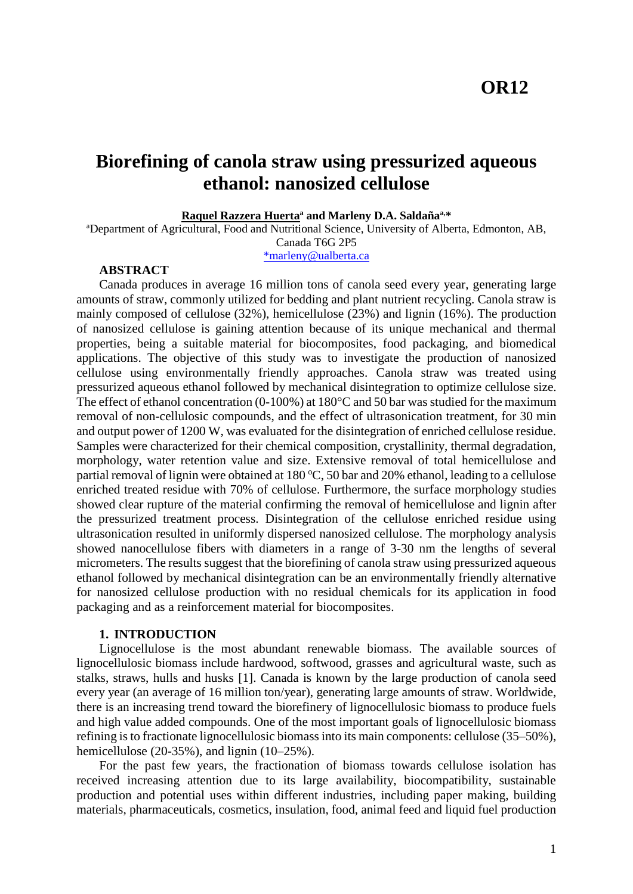# **OR12**

# **Biorefining of canola straw using pressurized aqueous ethanol: nanosized cellulose**

#### **Raquel Razzera Huerta<sup>a</sup> and Marleny D.A. Saldañaa,\***

<sup>a</sup>Department of Agricultural, Food and Nutritional Science, University of Alberta, Edmonton, AB, Canada T6G 2P5

[\\*marleny@ualberta.ca](mailto:*marleny@ualberta.ca)

#### **ABSTRACT**

Canada produces in average 16 million tons of canola seed every year, generating large amounts of straw, commonly utilized for bedding and plant nutrient recycling. Canola straw is mainly composed of cellulose (32%), hemicellulose (23%) and lignin (16%). The production of nanosized cellulose is gaining attention because of its unique mechanical and thermal properties, being a suitable material for biocomposites, food packaging, and biomedical applications. The objective of this study was to investigate the production of nanosized cellulose using environmentally friendly approaches. Canola straw was treated using pressurized aqueous ethanol followed by mechanical disintegration to optimize cellulose size. The effect of ethanol concentration (0-100%) at 180°C and 50 bar was studied for the maximum removal of non-cellulosic compounds, and the effect of ultrasonication treatment, for 30 min and output power of 1200 W, was evaluated for the disintegration of enriched cellulose residue. Samples were characterized for their chemical composition, crystallinity, thermal degradation, morphology, water retention value and size. Extensive removal of total hemicellulose and partial removal of lignin were obtained at 180  $\degree$ C, 50 bar and 20% ethanol, leading to a cellulose enriched treated residue with 70% of cellulose. Furthermore, the surface morphology studies showed clear rupture of the material confirming the removal of hemicellulose and lignin after the pressurized treatment process. Disintegration of the cellulose enriched residue using ultrasonication resulted in uniformly dispersed nanosized cellulose. The morphology analysis showed nanocellulose fibers with diameters in a range of 3-30 nm the lengths of several micrometers. The results suggest that the biorefining of canola straw using pressurized aqueous ethanol followed by mechanical disintegration can be an environmentally friendly alternative for nanosized cellulose production with no residual chemicals for its application in food packaging and as a reinforcement material for biocomposites.

#### **1. INTRODUCTION**

Lignocellulose is the most abundant renewable biomass. The available sources of lignocellulosic biomass include hardwood, softwood, grasses and agricultural waste, such as stalks, straws, hulls and husks [1]. Canada is known by the large production of canola seed every year (an average of 16 million ton/year), generating large amounts of straw. Worldwide, there is an increasing trend toward the biorefinery of lignocellulosic biomass to produce fuels and high value added compounds. One of the most important goals of lignocellulosic biomass refining is to fractionate lignocellulosic biomassinto its main components: cellulose (35–50%), hemicellulose  $(20-35\%)$ , and lignin  $(10-25\%)$ .

For the past few years, the fractionation of biomass towards cellulose isolation has received increasing attention due to its large availability, biocompatibility, sustainable production and potential uses within different industries, including paper making, building materials, pharmaceuticals, cosmetics, insulation, food, animal feed and liquid fuel production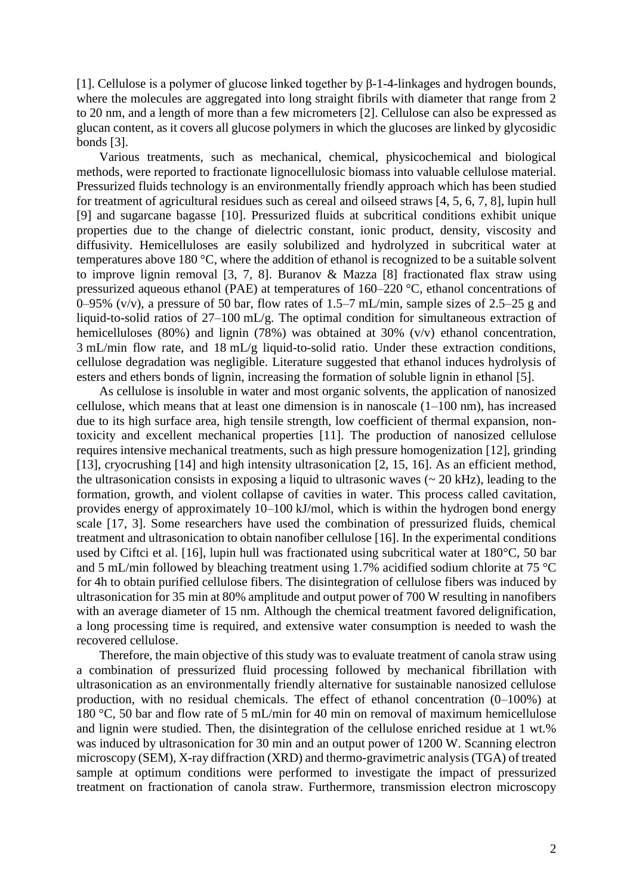[1]. Cellulose is a polymer of glucose linked together by β-1-4-linkages and hydrogen bounds, where the molecules are aggregated into long straight fibrils with diameter that range from 2 to 20 nm, and a length of more than a few micrometers [2]. Cellulose can also be expressed as glucan content, as it covers all glucose polymers in which the glucoses are linked by glycosidic bonds [3].

Various treatments, such as mechanical, chemical, physicochemical and biological methods, were reported to fractionate lignocellulosic biomass into valuable cellulose material. Pressurized fluids technology is an environmentally friendly approach which has been studied for treatment of agricultural residues such as cereal and oilseed straws [4, 5, 6, 7, 8], lupin hull [9] and sugarcane bagasse [10]. Pressurized fluids at subcritical conditions exhibit unique properties due to the change of dielectric constant, ionic product, density, viscosity and diffusivity. Hemicelluloses are easily solubilized and hydrolyzed in subcritical water at temperatures above 180 °C, where the addition of ethanol is recognized to be a suitable solvent to improve lignin removal [3, 7, 8]. Buranov & Mazza [8] fractionated flax straw using pressurized aqueous ethanol (PAE) at temperatures of 160–220 °C, ethanol concentrations of 0–95% (v/v), a pressure of 50 bar, flow rates of 1.5–7 mL/min, sample sizes of 2.5–25 g and liquid-to-solid ratios of 27–100 mL/g. The optimal condition for simultaneous extraction of hemicelluloses (80%) and lignin (78%) was obtained at 30% ( $v/v$ ) ethanol concentration, 3 mL/min flow rate, and 18 mL/g liquid-to-solid ratio. Under these extraction conditions, cellulose degradation was negligible. Literature suggested that ethanol induces hydrolysis of esters and ethers bonds of lignin, increasing the formation of soluble lignin in ethanol [5].

As cellulose is insoluble in water and most organic solvents, the application of nanosized cellulose, which means that at least one dimension is in nanoscale  $(1-100 \text{ nm})$ , has increased due to its high surface area, high tensile strength, low coefficient of thermal expansion, nontoxicity and excellent mechanical properties [11]. The production of nanosized cellulose requires intensive mechanical treatments, such as high pressure homogenization [12], grinding [13], cryocrushing [14] and high intensity ultrasonication [2, 15, 16]. As an efficient method, the ultrasonication consists in exposing a liquid to ultrasonic waves  $\sim 20$  kHz), leading to the formation, growth, and violent collapse of cavities in water. This process called cavitation, provides energy of approximately 10–100 kJ/mol, which is within the hydrogen bond energy scale [17, 3]. Some researchers have used the combination of pressurized fluids, chemical treatment and ultrasonication to obtain nanofiber cellulose [16]. In the experimental conditions used by Ciftci et al. [16], lupin hull was fractionated using subcritical water at 180°C, 50 bar and 5 mL/min followed by bleaching treatment using 1.7% acidified sodium chlorite at 75 °C for 4h to obtain purified cellulose fibers. The disintegration of cellulose fibers was induced by ultrasonication for 35 min at 80% amplitude and output power of 700 W resulting in nanofibers with an average diameter of 15 nm. Although the chemical treatment favored delignification, a long processing time is required, and extensive water consumption is needed to wash the recovered cellulose.

Therefore, the main objective of this study was to evaluate treatment of canola straw using a combination of pressurized fluid processing followed by mechanical fibrillation with ultrasonication as an environmentally friendly alternative for sustainable nanosized cellulose production, with no residual chemicals. The effect of ethanol concentration (0–100%) at 180 °C, 50 bar and flow rate of 5 mL/min for 40 min on removal of maximum hemicellulose and lignin were studied. Then, the disintegration of the cellulose enriched residue at 1 wt.% was induced by ultrasonication for 30 min and an output power of 1200 W. Scanning electron microscopy (SEM), X-ray diffraction (XRD) and thermo-gravimetric analysis (TGA) of treated sample at optimum conditions were performed to investigate the impact of pressurized treatment on fractionation of canola straw. Furthermore, transmission electron microscopy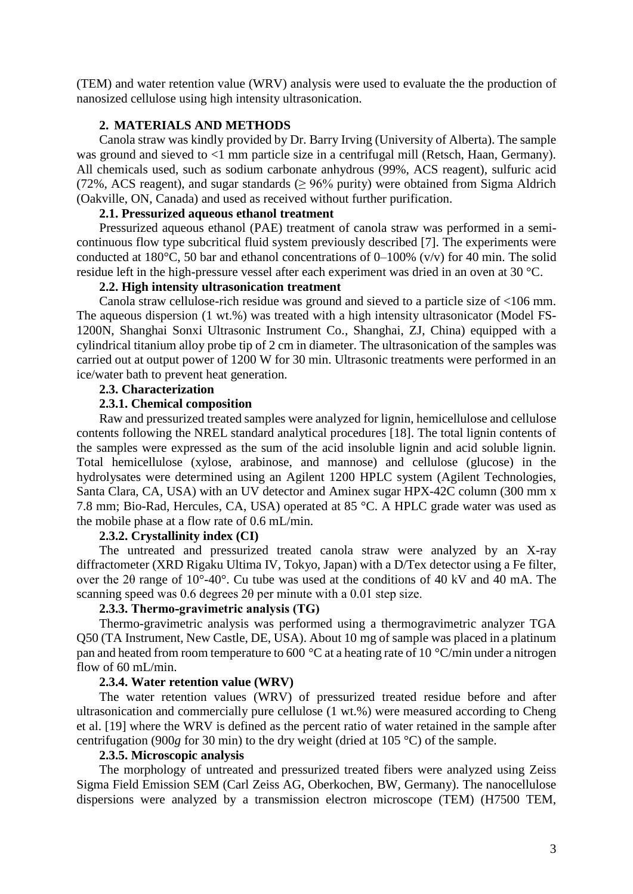(TEM) and water retention value (WRV) analysis were used to evaluate the the production of nanosized cellulose using high intensity ultrasonication.

#### **2. MATERIALS AND METHODS**

Canola straw was kindly provided by Dr. Barry Irving (University of Alberta). The sample was ground and sieved to <1 mm particle size in a centrifugal mill (Retsch, Haan, Germany). All chemicals used, such as sodium carbonate anhydrous (99%, ACS reagent), sulfuric acid (72%, ACS reagent), and sugar standards ( $\geq$  96% purity) were obtained from Sigma Aldrich (Oakville, ON, Canada) and used as received without further purification.

### **2.1. Pressurized aqueous ethanol treatment**

Pressurized aqueous ethanol (PAE) treatment of canola straw was performed in a semicontinuous flow type subcritical fluid system previously described [7]. The experiments were conducted at 180 $^{\circ}$ C, 50 bar and ethanol concentrations of 0–100% (v/v) for 40 min. The solid residue left in the high-pressure vessel after each experiment was dried in an oven at 30 °C.

## **2.2. High intensity ultrasonication treatment**

Canola straw cellulose-rich residue was ground and sieved to a particle size of <106 mm. The aqueous dispersion (1 wt.%) was treated with a high intensity ultrasonicator (Model FS-1200N, Shanghai Sonxi Ultrasonic Instrument Co., Shanghai, ZJ, China) equipped with a cylindrical titanium alloy probe tip of 2 cm in diameter. The ultrasonication of the samples was carried out at output power of 1200 W for 30 min. Ultrasonic treatments were performed in an ice/water bath to prevent heat generation.

### **2.3. Characterization**

### **2.3.1. Chemical composition**

Raw and pressurized treated samples were analyzed for lignin, hemicellulose and cellulose contents following the NREL standard analytical procedures [18]. The total lignin contents of the samples were expressed as the sum of the acid insoluble lignin and acid soluble lignin. Total hemicellulose (xylose, arabinose, and mannose) and cellulose (glucose) in the hydrolysates were determined using an Agilent 1200 HPLC system (Agilent Technologies, Santa Clara, CA, USA) with an UV detector and Aminex sugar HPX-42C column (300 mm x 7.8 mm; Bio-Rad, Hercules, CA, USA) operated at 85 °C. A HPLC grade water was used as the mobile phase at a flow rate of 0.6 mL/min.

### **2.3.2. Crystallinity index (CI)**

The untreated and pressurized treated canola straw were analyzed by an X-ray diffractometer (XRD Rigaku Ultima IV, Tokyo, Japan) with a D/Tex detector using a Fe filter, over the 2θ range of 10°-40°. Cu tube was used at the conditions of 40 kV and 40 mA. The scanning speed was 0.6 degrees 2θ per minute with a 0.01 step size.

### **2.3.3. Thermo-gravimetric analysis (TG)**

Thermo-gravimetric analysis was performed using a thermogravimetric analyzer TGA Q50 (TA Instrument, New Castle, DE, USA). About 10 mg of sample was placed in a platinum pan and heated from room temperature to 600 °C at a heating rate of 10 °C/min under a nitrogen flow of 60 mL/min.

#### **2.3.4. Water retention value (WRV)**

The water retention values (WRV) of pressurized treated residue before and after ultrasonication and commercially pure cellulose (1 wt.%) were measured according to Cheng et al. [19] where the WRV is defined as the percent ratio of water retained in the sample after centrifugation (900*g* for 30 min) to the dry weight (dried at 105 °C) of the sample.

#### **2.3.5. Microscopic analysis**

The morphology of untreated and pressurized treated fibers were analyzed using Zeiss Sigma Field Emission SEM (Carl Zeiss AG, Oberkochen, BW, Germany). The nanocellulose dispersions were analyzed by a transmission electron microscope (TEM) (H7500 TEM,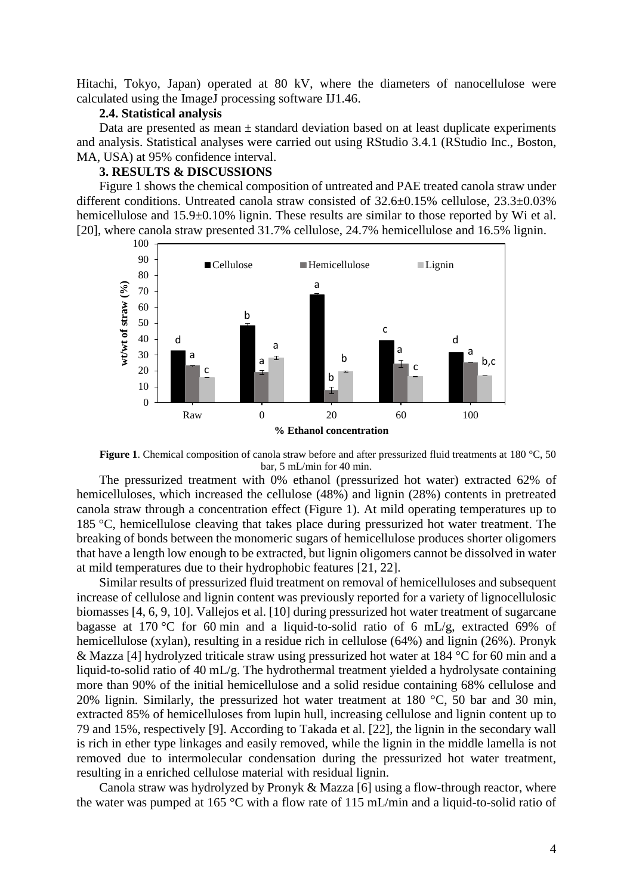Hitachi, Tokyo, Japan) operated at 80 kV, where the diameters of nanocellulose were calculated using the ImageJ processing software IJ1.46.

#### **2.4. Statistical analysis**

Data are presented as mean  $\pm$  standard deviation based on at least duplicate experiments and analysis. Statistical analyses were carried out using RStudio 3.4.1 (RStudio Inc., Boston, MA, USA) at 95% confidence interval.

#### **3. RESULTS & DISCUSSIONS**

Figure 1 shows the chemical composition of untreated and PAE treated canola straw under different conditions. Untreated canola straw consisted of 32.6±0.15% cellulose, 23.3±0.03% hemicellulose and 15.9 $\pm$ 0.10% lignin. These results are similar to those reported by Wi et al. [20], where canola straw presented 31.7% cellulose, 24.7% hemicellulose and 16.5% lignin.



**Figure 1**. Chemical composition of canola straw before and after pressurized fluid treatments at 180 °C, 50 bar, 5 mL/min for 40 min.

The pressurized treatment with 0% ethanol (pressurized hot water) extracted 62% of hemicelluloses, which increased the cellulose (48%) and lignin (28%) contents in pretreated canola straw through a concentration effect (Figure 1). At mild operating temperatures up to 185 °C, hemicellulose cleaving that takes place during pressurized hot water treatment. The breaking of bonds between the monomeric sugars of hemicellulose produces shorter oligomers that have a length low enough to be extracted, but lignin oligomers cannot be dissolved in water at mild temperatures due to their hydrophobic features [21, 22].

Similar results of pressurized fluid treatment on removal of hemicelluloses and subsequent increase of cellulose and lignin content was previously reported for a variety of lignocellulosic biomasses [4, 6, 9, 10]. Vallejos et al. [10] during pressurized hot water treatment of sugarcane bagasse at 170 °C for 60 min and a liquid-to-solid ratio of 6 mL/g, extracted 69% of hemicellulose (xylan), resulting in a residue rich in cellulose (64%) and lignin (26%). Pronyk & Mazza [4] hydrolyzed triticale straw using pressurized hot water at 184 °C for 60 min and a liquid-to-solid ratio of 40 mL/g. The hydrothermal treatment yielded a hydrolysate containing more than 90% of the initial hemicellulose and a solid residue containing 68% cellulose and 20% lignin. Similarly, the pressurized hot water treatment at 180  $^{\circ}$ C, 50 bar and 30 min, extracted 85% of hemicelluloses from lupin hull, increasing cellulose and lignin content up to 79 and 15%, respectively [9]. According to Takada et al. [22], the lignin in the secondary wall is rich in ether type linkages and easily removed, while the lignin in the middle lamella is not removed due to intermolecular condensation during the pressurized hot water treatment, resulting in a enriched cellulose material with residual lignin.

Canola straw was hydrolyzed by Pronyk & Mazza [6] using a flow-through reactor, where the water was pumped at 165 °C with a flow rate of 115 mL/min and a liquid-to-solid ratio of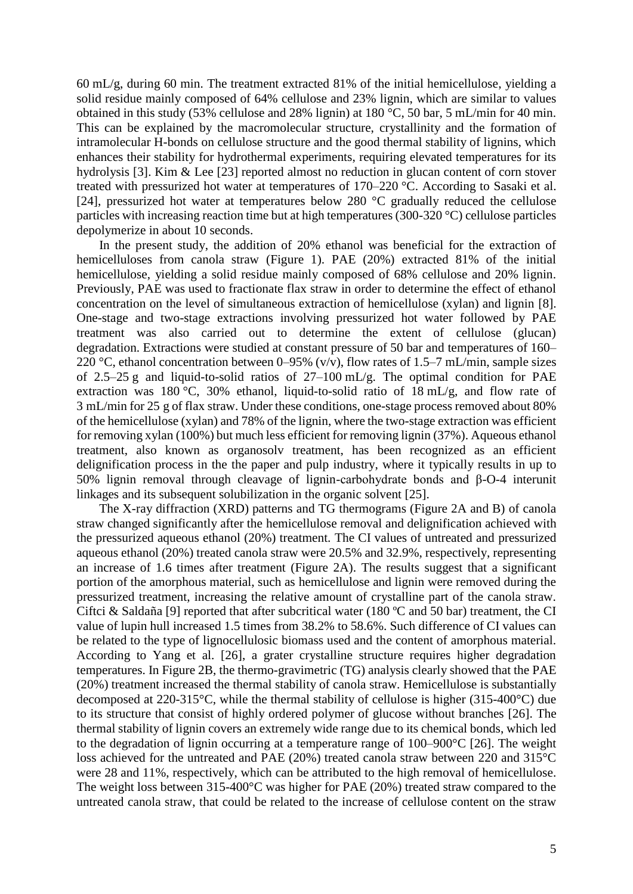60 mL/g, during 60 min. The treatment extracted 81% of the initial hemicellulose, yielding a solid residue mainly composed of 64% cellulose and 23% lignin, which are similar to values obtained in this study (53% cellulose and 28% lignin) at 180 °C, 50 bar, 5 mL/min for 40 min. This can be explained by the macromolecular structure, crystallinity and the formation of intramolecular H-bonds on cellulose structure and the good thermal stability of lignins, which enhances their stability for hydrothermal experiments, requiring elevated temperatures for its hydrolysis [3]. Kim & Lee [23] reported almost no reduction in glucan content of corn stover treated with pressurized hot water at temperatures of 170–220 °C. According to Sasaki et al. [24], pressurized hot water at temperatures below 280 °C gradually reduced the cellulose particles with increasing reaction time but at high temperatures (300-320 °C) cellulose particles depolymerize in about 10 seconds.

In the present study, the addition of 20% ethanol was beneficial for the extraction of hemicelluloses from canola straw (Figure 1). PAE (20%) extracted 81% of the initial hemicellulose, yielding a solid residue mainly composed of 68% cellulose and 20% lignin. Previously, PAE was used to fractionate flax straw in order to determine the effect of ethanol concentration on the level of simultaneous extraction of hemicellulose (xylan) and lignin [8]. One-stage and two-stage extractions involving pressurized hot water followed by PAE treatment was also carried out to determine the extent of cellulose (glucan) degradation. Extractions were studied at constant pressure of 50 bar and temperatures of 160– 220 °C, ethanol concentration between 0–95% (v/v), flow rates of 1.5–7 mL/min, sample sizes of 2.5–25 g and liquid-to-solid ratios of 27–100 mL/g. The optimal condition for PAE extraction was 180 °C, 30% ethanol, liquid-to-solid ratio of 18 mL/g, and flow rate of 3 mL/min for 25 g of flax straw. Under these conditions, one-stage process removed about 80% of the hemicellulose (xylan) and 78% of the lignin, where the two-stage extraction was efficient for removing xylan (100%) but much less efficient for removing lignin (37%). Aqueous ethanol treatment, also known as organosolv treatment, has been recognized as an efficient delignification process in the the paper and pulp industry, where it typically results in up to 50% lignin removal through cleavage of lignin-carbohydrate bonds and β-O-4 interunit linkages and its subsequent solubilization in the organic solvent [25].

The X-ray diffraction (XRD) patterns and TG thermograms (Figure 2A and B) of canola straw changed significantly after the hemicellulose removal and delignification achieved with the pressurized aqueous ethanol (20%) treatment. The CI values of untreated and pressurized aqueous ethanol (20%) treated canola straw were 20.5% and 32.9%, respectively, representing an increase of 1.6 times after treatment (Figure 2A). The results suggest that a significant portion of the amorphous material, such as hemicellulose and lignin were removed during the pressurized treatment, increasing the relative amount of crystalline part of the canola straw. Ciftci & Saldaña [9] reported that after subcritical water (180 ºC and 50 bar) treatment, the CI value of lupin hull increased 1.5 times from 38.2% to 58.6%. Such difference of CI values can be related to the type of lignocellulosic biomass used and the content of amorphous material. According to Yang et al. [26], a grater crystalline structure requires higher degradation temperatures. In Figure 2B, the thermo-gravimetric (TG) analysis clearly showed that the PAE (20%) treatment increased the thermal stability of canola straw. Hemicellulose is substantially decomposed at 220-315°C, while the thermal stability of cellulose is higher (315-400°C) due to its structure that consist of highly ordered polymer of glucose without branches [26]. The thermal stability of lignin covers an extremely wide range due to its chemical bonds, which led to the degradation of lignin occurring at a temperature range of 100–900°C [26]. The weight loss achieved for the untreated and PAE (20%) treated canola straw between 220 and 315°C were 28 and 11%, respectively, which can be attributed to the high removal of hemicellulose. The weight loss between 315-400°C was higher for PAE (20%) treated straw compared to the untreated canola straw, that could be related to the increase of cellulose content on the straw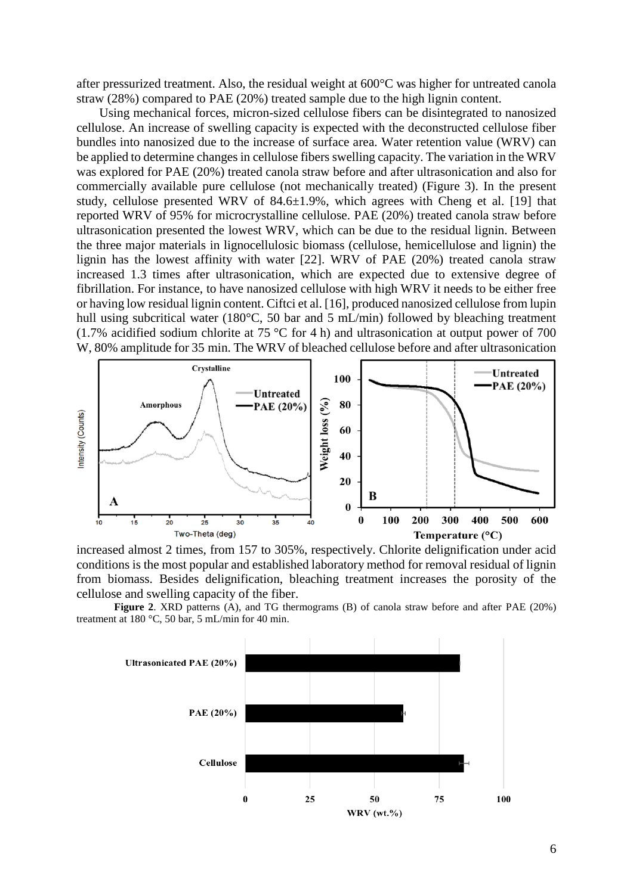after pressurized treatment. Also, the residual weight at 600°C was higher for untreated canola straw (28%) compared to PAE (20%) treated sample due to the high lignin content.

Using mechanical forces, micron-sized cellulose fibers can be disintegrated to nanosized cellulose. An increase of swelling capacity is expected with the deconstructed cellulose fiber bundles into nanosized due to the increase of surface area. Water retention value (WRV) can be applied to determine changes in cellulose fibers swelling capacity. The variation in the WRV was explored for PAE (20%) treated canola straw before and after ultrasonication and also for commercially available pure cellulose (not mechanically treated) (Figure 3). In the present study, cellulose presented WRV of 84.6±1.9%, which agrees with Cheng et al. [19] that reported WRV of 95% for microcrystalline cellulose. PAE (20%) treated canola straw before ultrasonication presented the lowest WRV, which can be due to the residual lignin. Between the three major materials in lignocellulosic biomass (cellulose, hemicellulose and lignin) the lignin has the lowest affinity with water [22]. WRV of PAE (20%) treated canola straw increased 1.3 times after ultrasonication, which are expected due to extensive degree of fibrillation. For instance, to have nanosized cellulose with high WRV it needs to be either free or having low residual lignin content. Ciftci et al. [16], produced nanosized cellulose from lupin hull using subcritical water (180°C, 50 bar and 5 mL/min) followed by bleaching treatment (1.7% acidified sodium chlorite at 75 °C for 4 h) and ultrasonication at output power of 700 W, 80% amplitude for 35 min. The WRV of bleached cellulose before and after ultrasonication



increased almost 2 times, from 157 to 305%, respectively. Chlorite delignification under acid conditions is the most popular and established laboratory method for removal residual of lignin from biomass. Besides delignification, bleaching treatment increases the porosity of the cellulose and swelling capacity of the fiber.

**Figure 2**. XRD patterns (A), and TG thermograms (B) of canola straw before and after PAE (20%) treatment at 180 °C, 50 bar, 5 mL/min for 40 min.

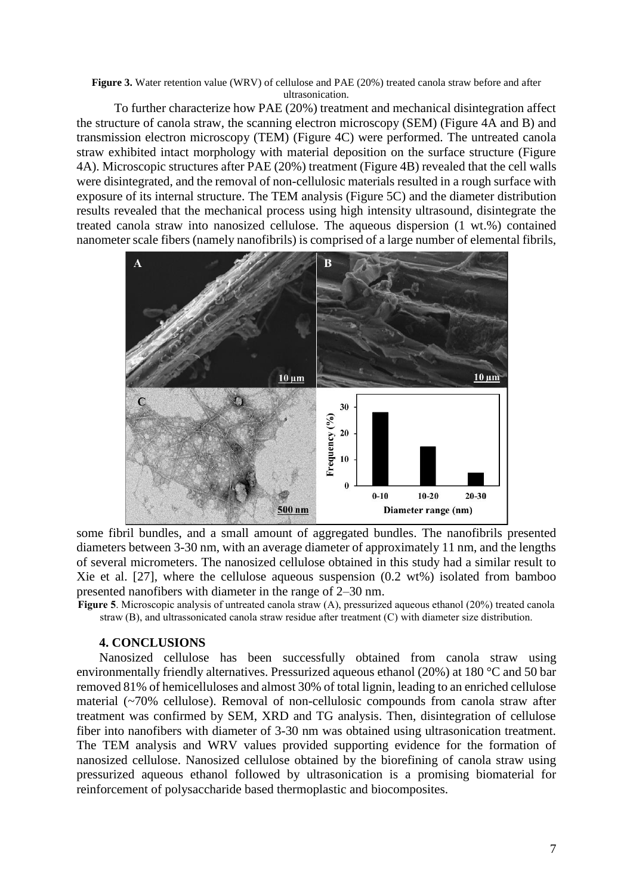**Figure 3.** Water retention value (WRV) of cellulose and PAE (20%) treated canola straw before and after ultrasonication.

To further characterize how PAE (20%) treatment and mechanical disintegration affect the structure of canola straw, the scanning electron microscopy (SEM) (Figure 4A and B) and transmission electron microscopy (TEM) (Figure 4C) were performed. The untreated canola straw exhibited intact morphology with material deposition on the surface structure (Figure 4A). Microscopic structures after PAE (20%) treatment (Figure 4B) revealed that the cell walls were disintegrated, and the removal of non-cellulosic materials resulted in a rough surface with exposure of its internal structure. The TEM analysis (Figure 5C) and the diameter distribution results revealed that the mechanical process using high intensity ultrasound, disintegrate the treated canola straw into nanosized cellulose. The aqueous dispersion (1 wt.%) contained nanometer scale fibers (namely nanofibrils) is comprised of a large number of elemental fibrils,



some fibril bundles, and a small amount of aggregated bundles. The nanofibrils presented diameters between 3-30 nm, with an average diameter of approximately 11 nm, and the lengths of several micrometers. The nanosized cellulose obtained in this study had a similar result to Xie et al. [27], where the cellulose aqueous suspension (0.2 wt%) isolated from bamboo presented nanofibers with diameter in the range of 2–30 nm.

**Figure 5**. Microscopic analysis of untreated canola straw (A), pressurized aqueous ethanol (20%) treated canola straw (B), and ultrassonicated canola straw residue after treatment (C) with diameter size distribution.

#### **4. CONCLUSIONS**

Nanosized cellulose has been successfully obtained from canola straw using environmentally friendly alternatives. Pressurized aqueous ethanol (20%) at 180 °C and 50 bar removed 81% of hemicelluloses and almost 30% of total lignin, leading to an enriched cellulose material (~70% cellulose). Removal of non-cellulosic compounds from canola straw after treatment was confirmed by SEM, XRD and TG analysis. Then, disintegration of cellulose fiber into nanofibers with diameter of 3-30 nm was obtained using ultrasonication treatment. The TEM analysis and WRV values provided supporting evidence for the formation of nanosized cellulose. Nanosized cellulose obtained by the biorefining of canola straw using pressurized aqueous ethanol followed by ultrasonication is a promising biomaterial for reinforcement of polysaccharide based thermoplastic and biocomposites.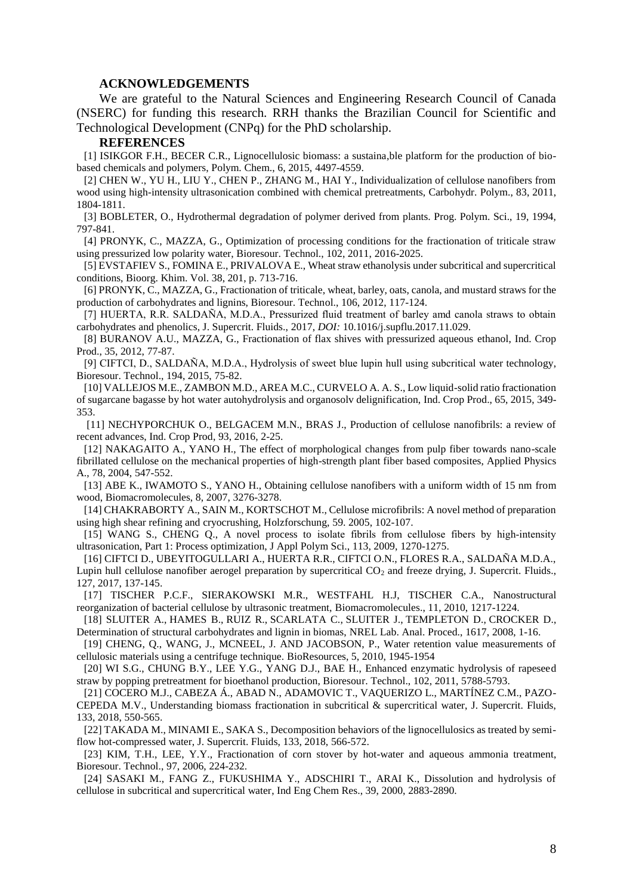#### **ACKNOWLEDGEMENTS**

We are grateful to the Natural Sciences and Engineering Research Council of Canada (NSERC) for funding this research. RRH thanks the Brazilian Council for Scientific and Technological Development (CNPq) for the PhD scholarship.

#### **REFERENCES**

[1] ISIKGOR F.H., BECER C.R., Lignocellulosic biomass: a sustaina,ble platform for the production of biobased chemicals and polymers, Polym. Chem., 6, 2015, 4497-4559.

[2] CHEN W., YU H., LIU Y., CHEN P., ZHANG M., HAI Y., Individualization of cellulose nanofibers from wood using high-intensity ultrasonication combined with chemical pretreatments, Carbohydr. Polym., 83, 2011, 1804-1811.

[3] BOBLETER, O., Hydrothermal degradation of polymer derived from plants. Prog. Polym. Sci., 19, 1994, 797-841.

[4] PRONYK, C., MAZZA, G., Optimization of processing conditions for the fractionation of triticale straw using pressurized low polarity water, Bioresour. Technol., 102, 2011, 2016-2025.

[5] EVSTAFIEV S., FOMINA E., PRIVALOVA E., Wheat straw ethanolysis under subcritical and supercritical conditions, Bioorg. Khim. Vol. 38, 201, p. 713-716.

[6] PRONYK, C., MAZZA, G., Fractionation of triticale, wheat, barley, oats, canola, and mustard straws for the production of carbohydrates and lignins, Bioresour. Technol., 106, 2012, 117-124.

[7] HUERTA, R.R. SALDAÑA, M.D.A., Pressurized fluid treatment of barley amd canola straws to obtain carbohydrates and phenolics, J. Supercrit. Fluids., 2017, *DOI:* 10.1016/j.supflu.2017.11.029.

[8] BURANOV A.U., MAZZA, G., Fractionation of flax shives with pressurized aqueous ethanol, Ind. Crop Prod., 35, 2012, 77-87.

[9] CIFTCI, D., SALDAÑA, M.D.A., Hydrolysis of sweet blue lupin hull using subcritical water technology, Bioresour. Technol., 194, 2015, 75-82.

[10] VALLEJOS M.E., ZAMBON M.D., AREA M.C., CURVELO A. A. S., Low liquid-solid ratio fractionation of sugarcane bagasse by hot water autohydrolysis and organosolv delignification, Ind. Crop Prod., 65, 2015, 349- 353.

[11] NECHYPORCHUK O., BELGACEM M.N., BRAS J., Production of cellulose nanofibrils: a review of recent advances, Ind. Crop Prod, 93, 2016, 2-25.

[12] NAKAGAITO A., YANO H., The effect of morphological changes from pulp fiber towards nano-scale fibrillated cellulose on the mechanical properties of high-strength plant fiber based composites, Applied Physics A., 78, 2004, 547-552.

[13] ABE K., IWAMOTO S., YANO H., Obtaining cellulose nanofibers with a uniform width of 15 nm from wood, Biomacromolecules, 8, 2007, 3276-3278.

[14] CHAKRABORTY A., SAIN M., KORTSCHOT M., Cellulose microfibrils: A novel method of preparation using high shear refining and cryocrushing, Holzforschung, 59. 2005, 102-107.

[15] WANG S., CHENG Q., A novel process to isolate fibrils from cellulose fibers by high‐intensity ultrasonication, Part 1: Process optimization, J Appl Polym Sci., 113, 2009, 1270-1275.

[16] CIFTCI D., UBEYITOGULLARI A., HUERTA R.R., CIFTCI O.N., FLORES R.A., SALDAÑA M.D.A., Lupin hull cellulose nanofiber aerogel preparation by supercritical CO<sub>2</sub> and freeze drying, J. Supercrit. Fluids., 127, 2017, 137-145.

[17] TISCHER P.C.F., SIERAKOWSKI M.R., WESTFAHL H.J, TISCHER C.A., Nanostructural reorganization of bacterial cellulose by ultrasonic treatment, Biomacromolecules., 11, 2010, 1217-1224.

[18] SLUITER A., HAMES B., RUIZ R., SCARLATA C., SLUITER J., TEMPLETON D., CROCKER D., Determination of structural carbohydrates and lignin in biomas, NREL Lab. Anal. Proced., 1617, 2008, 1-16.

[19] CHENG, Q., WANG, J., MCNEEL, J. AND JACOBSON, P., Water retention value measurements of cellulosic materials using a centrifuge technique. BioResources, 5, 2010, 1945-1954

[20] WI S.G., CHUNG B.Y., LEE Y.G., YANG D.J., BAE H., Enhanced enzymatic hydrolysis of rapeseed straw by popping pretreatment for bioethanol production, Bioresour. Technol., 102, 2011, 5788-5793.

[21] COCERO M.J., CABEZA Á., ABAD N., ADAMOVIC T., VAQUERIZO L., MARTÍNEZ C.M., PAZO-CEPEDA M.V., Understanding biomass fractionation in subcritical & supercritical water, J. Supercrit. Fluids, 133, 2018, 550-565.

[22] TAKADA M., MINAMI E., SAKA S., Decomposition behaviors of the lignocellulosics as treated by semiflow hot-compressed water, J. Supercrit. Fluids, 133, 2018, 566-572.

[23] KIM, T.H., LEE, Y.Y., Fractionation of corn stover by hot-water and aqueous ammonia treatment, Bioresour. Technol., 97, 2006, 224-232.

[24] SASAKI M., FANG Z., FUKUSHIMA Y., ADSCHIRI T., ARAI K., Dissolution and hydrolysis of cellulose in subcritical and supercritical water, Ind Eng Chem Res., 39, 2000, 2883-2890.